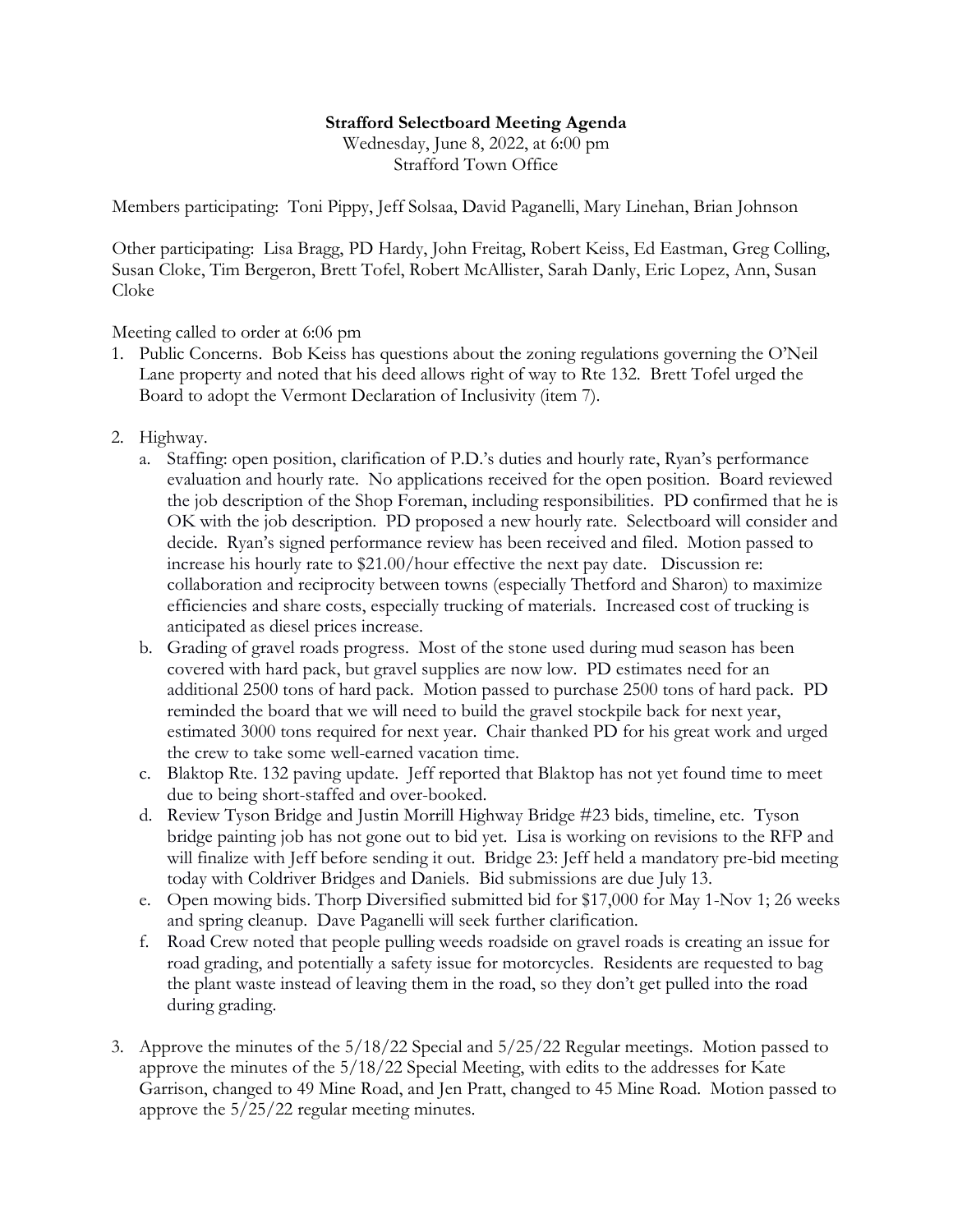## **Strafford Selectboard Meeting Agenda**

Wednesday, June 8, 2022, at 6:00 pm Strafford Town Office

Members participating: Toni Pippy, Jeff Solsaa, David Paganelli, Mary Linehan, Brian Johnson

Other participating: Lisa Bragg, PD Hardy, John Freitag, Robert Keiss, Ed Eastman, Greg Colling, Susan Cloke, Tim Bergeron, Brett Tofel, Robert McAllister, Sarah Danly, Eric Lopez, Ann, Susan Cloke

Meeting called to order at 6:06 pm

- 1. Public Concerns. Bob Keiss has questions about the zoning regulations governing the O'Neil Lane property and noted that his deed allows right of way to Rte 132. Brett Tofel urged the Board to adopt the Vermont Declaration of Inclusivity (item 7).
- 2. Highway.
	- a. Staffing: open position, clarification of P.D.'s duties and hourly rate, Ryan's performance evaluation and hourly rate. No applications received for the open position. Board reviewed the job description of the Shop Foreman, including responsibilities. PD confirmed that he is OK with the job description. PD proposed a new hourly rate. Selectboard will consider and decide. Ryan's signed performance review has been received and filed. Motion passed to increase his hourly rate to \$21.00/hour effective the next pay date. Discussion re: collaboration and reciprocity between towns (especially Thetford and Sharon) to maximize efficiencies and share costs, especially trucking of materials. Increased cost of trucking is anticipated as diesel prices increase.
	- b. Grading of gravel roads progress. Most of the stone used during mud season has been covered with hard pack, but gravel supplies are now low. PD estimates need for an additional 2500 tons of hard pack. Motion passed to purchase 2500 tons of hard pack. PD reminded the board that we will need to build the gravel stockpile back for next year, estimated 3000 tons required for next year. Chair thanked PD for his great work and urged the crew to take some well-earned vacation time.
	- c. Blaktop Rte. 132 paving update. Jeff reported that Blaktop has not yet found time to meet due to being short-staffed and over-booked.
	- d. Review Tyson Bridge and Justin Morrill Highway Bridge #23 bids, timeline, etc. Tyson bridge painting job has not gone out to bid yet. Lisa is working on revisions to the RFP and will finalize with Jeff before sending it out. Bridge 23: Jeff held a mandatory pre-bid meeting today with Coldriver Bridges and Daniels. Bid submissions are due July 13.
	- e. Open mowing bids. Thorp Diversified submitted bid for \$17,000 for May 1-Nov 1; 26 weeks and spring cleanup. Dave Paganelli will seek further clarification.
	- f. Road Crew noted that people pulling weeds roadside on gravel roads is creating an issue for road grading, and potentially a safety issue for motorcycles. Residents are requested to bag the plant waste instead of leaving them in the road, so they don't get pulled into the road during grading.
- 3. Approve the minutes of the 5/18/22 Special and 5/25/22 Regular meetings. Motion passed to approve the minutes of the 5/18/22 Special Meeting, with edits to the addresses for Kate Garrison, changed to 49 Mine Road, and Jen Pratt, changed to 45 Mine Road. Motion passed to approve the 5/25/22 regular meeting minutes.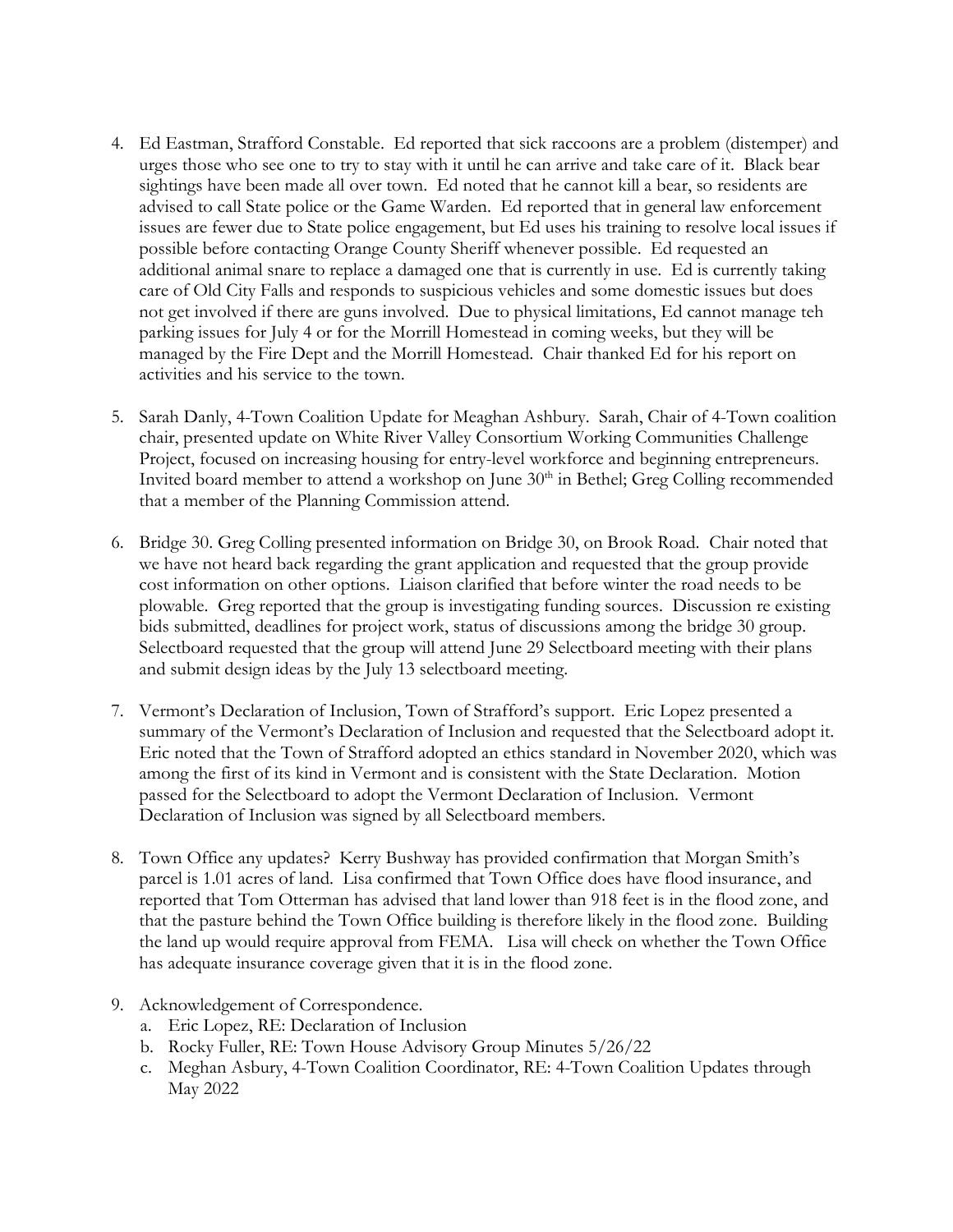- 4. Ed Eastman, Strafford Constable. Ed reported that sick raccoons are a problem (distemper) and urges those who see one to try to stay with it until he can arrive and take care of it. Black bear sightings have been made all over town. Ed noted that he cannot kill a bear, so residents are advised to call State police or the Game Warden. Ed reported that in general law enforcement issues are fewer due to State police engagement, but Ed uses his training to resolve local issues if possible before contacting Orange County Sheriff whenever possible. Ed requested an additional animal snare to replace a damaged one that is currently in use. Ed is currently taking care of Old City Falls and responds to suspicious vehicles and some domestic issues but does not get involved if there are guns involved. Due to physical limitations, Ed cannot manage teh parking issues for July 4 or for the Morrill Homestead in coming weeks, but they will be managed by the Fire Dept and the Morrill Homestead. Chair thanked Ed for his report on activities and his service to the town.
- 5. Sarah Danly, 4-Town Coalition Update for Meaghan Ashbury. Sarah, Chair of 4-Town coalition chair, presented update on White River Valley Consortium Working Communities Challenge Project, focused on increasing housing for entry-level workforce and beginning entrepreneurs. Invited board member to attend a workshop on June 30<sup>th</sup> in Bethel; Greg Colling recommended that a member of the Planning Commission attend.
- 6. Bridge 30. Greg Colling presented information on Bridge 30, on Brook Road. Chair noted that we have not heard back regarding the grant application and requested that the group provide cost information on other options. Liaison clarified that before winter the road needs to be plowable. Greg reported that the group is investigating funding sources. Discussion re existing bids submitted, deadlines for project work, status of discussions among the bridge 30 group. Selectboard requested that the group will attend June 29 Selectboard meeting with their plans and submit design ideas by the July 13 selectboard meeting.
- 7. Vermont's Declaration of Inclusion, Town of Strafford's support. Eric Lopez presented a summary of the Vermont's Declaration of Inclusion and requested that the Selectboard adopt it. Eric noted that the Town of Strafford adopted an ethics standard in November 2020, which was among the first of its kind in Vermont and is consistent with the State Declaration. Motion passed for the Selectboard to adopt the Vermont Declaration of Inclusion. Vermont Declaration of Inclusion was signed by all Selectboard members.
- 8. Town Office any updates? Kerry Bushway has provided confirmation that Morgan Smith's parcel is 1.01 acres of land. Lisa confirmed that Town Office does have flood insurance, and reported that Tom Otterman has advised that land lower than 918 feet is in the flood zone, and that the pasture behind the Town Office building is therefore likely in the flood zone. Building the land up would require approval from FEMA. Lisa will check on whether the Town Office has adequate insurance coverage given that it is in the flood zone.
- 9. Acknowledgement of Correspondence.
	- a. Eric Lopez, RE: Declaration of Inclusion
	- b. Rocky Fuller, RE: Town House Advisory Group Minutes 5/26/22
	- c. Meghan Asbury, 4-Town Coalition Coordinator, RE: 4-Town Coalition Updates through May 2022